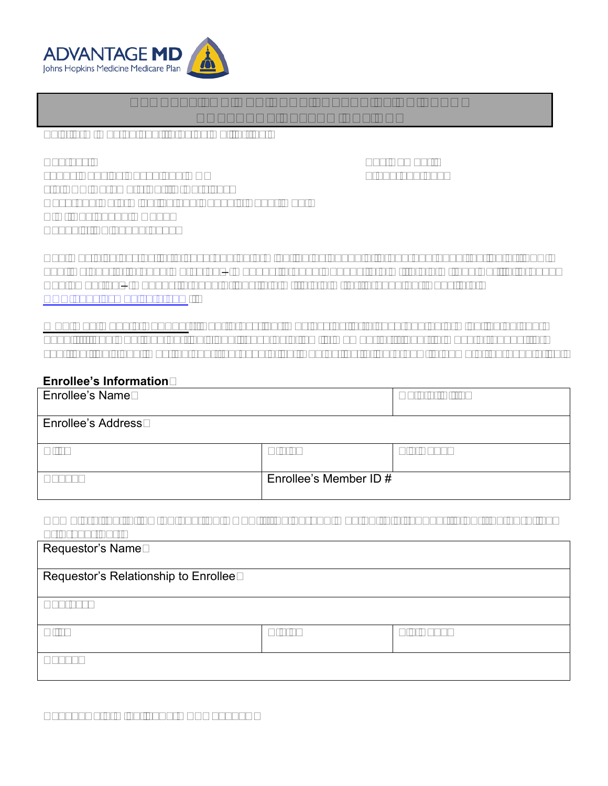

# **REQUEST FOR MEDICARE PRESCRIPTION DRUG COVERAGE DETERMINATION**

This form may be sent to us by mail or fax:

Address:

Fax Number: 1-855-633-7673

Johns Hopkins Advantage MD c/o CVS Caremark Part D Services Coverage Determination and Appeals Department P.O. Box 52000 MC109 Phoenix, AZ 85072-2000

You may also ask us for a coverage determination by phone at 1-877-293-5325 (option 2), TTY: 711, October 1 through March 31 – Monday through Sunday, 8 a.m. to 8 p.m. and April 1 through September 30 – Monday through Friday, 8 a.m. to 8 p.m. or through our website at [www.hopkinsmedicare.com.](http://www.hopkinsmedicare.com/)

**Who May Make a Request:** Your prescriber may ask us for a coverage determination on your behalf. If you want another individual (such as a family member or friend) to make a request for you, that individual must be your representative. Contact us to learn how to name a representative.

#### **Enrollee's Information**

| <b>Enrollee's Name</b>    |                        | Date of Birth |
|---------------------------|------------------------|---------------|
| <b>Enrollee's Address</b> |                        |               |
| City                      | <b>State</b>           | Zip Code      |
| Phone                     | Enrollee's Member ID # |               |

#### **Complete the following section ONLY if the person making this request is not the enrollee or prescriber:**

| Requestor's Name                     |              |          |
|--------------------------------------|--------------|----------|
| Requestor's Relationship to Enrollee |              |          |
| <b>Address</b>                       |              |          |
| City                                 | <b>State</b> | Zip Code |
| Phone                                |              |          |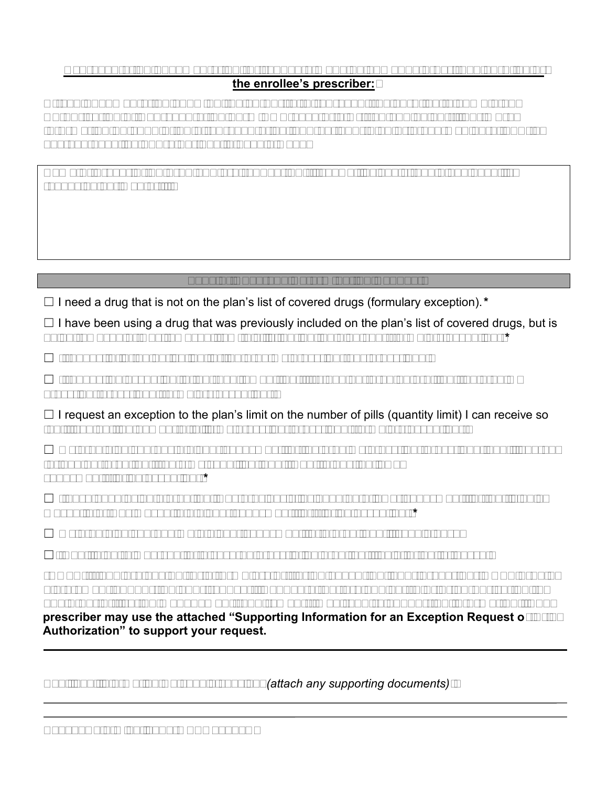### **Representation documentation for requests made by someone other than enrollee or the enrollee's prescriber:**

**Attach documentation showing the authority to represent the enrollee (a completed Authorization of Representation Form CMS-1696 or a written equivalent). For more information on appointing a representative, contact your plan or 1-800-Medicare, TTY: 1- 877-486-2048, 24 hours per day, 7 days a week.**

**Name of prescription drug you are requesting** (if known, include strength and quantity requested per month):

# **Type of Coverage Determination Request**

☐ I need a drug that is not on the plan's list of covered drugs (formulary exception).*\**

 $\Box$  I have been using a drug that was previously included on the plan's list of covered drugs, but is being removed or was removed from this list during the plan year (formulary exception).*\**

 $\Box$  I request prior authorization for the drug my prescriber has prescribed.\*

 $\Box$  I request an exception to the requirement that I try another drug before I get the drug my prescriber prescribed (formulary exception).\*

 $\Box$  I request an exception to the plan's limit on the number of pills (quantity limit) I can receive so that I can get the number of pills my prescriber prescribed (formulary exception).\*

 $\Box$  My drug plan charges a higher copayment for the drug my prescriber prescribed than it charges for another drug that treats my condition, and I want to pay the lower copayment (tiering exception).*\**

 $\Box$  I have been using a drug that was previously included on a lower copayment tier, but is being moved to or was moved to a higher copayment tier (tiering exception).*\**

 $\Box$  My drug plan charged me a higher copayment for a drug than it should have.

 $\Box$ I want to be reimbursed for a covered prescription drug that I paid for out of pocket.

**\*NOTE: If you are asking for a formulary or tiering exception, your prescriber MUST provide a statement supporting your request. Requests that are subject to prior authorization (or any other utilization management requirement), may require supporting information. Your prescriber may use the attached "Supporting Information for an Exception Request or Prior Authorization" to support your request.**

Additional information we should consider *(attach any supporting documents)*: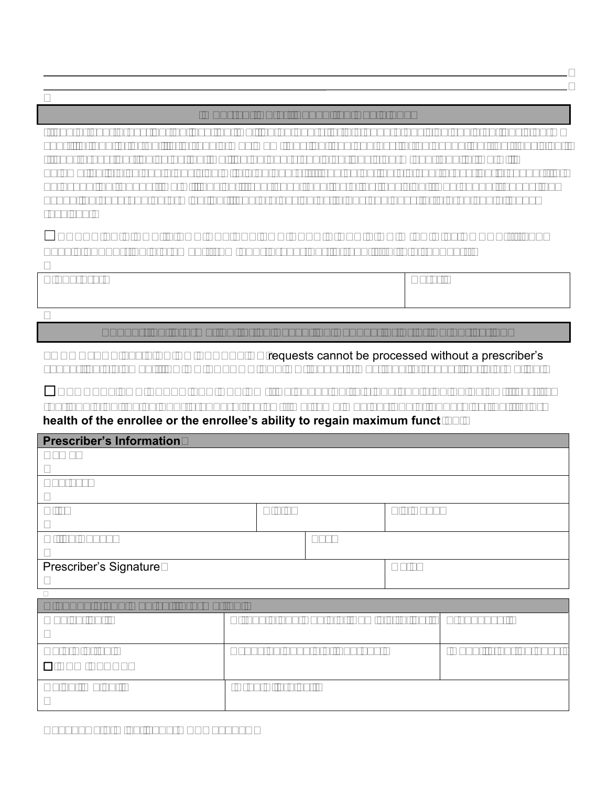## **Important Note: Expedited Decisions**

If you or your prescriber believe that waiting 72 hours for a standard decision could seriously harm your life, health, or ability to regain maximum function, you can ask for an expedited (fast) decision. If your prescriber indicates that waiting 72 hours could seriously harm your health, we will automatically give you a decision within 24 hours. If you do not obtain your prescriber's support for an expedited request, we will decide if your case requires a fast decision. You cannot request an expedited coverage determination if you are asking us to pay you back for a drug you already received.

## ☐**CHECK THIS BOX IF YOU BELIEVE YOU NEED A DECISION WITHIN 24 HOURS (if you have a supporting statement from your prescriber, attach it to this request).**

| Signature: | Date: |
|------------|-------|
|            |       |

## **Supporting Information for an Exception Request or Prior Authorization**

FORMULARY and TIERING EXCEPTION requests cannot be processed without a prescriber's supporting statement. PRIOR AUTHORIZATION requests may require supporting information.

☐**REQUEST FOR EXPEDITED REVIEW: By checking this box and signing below, I certify that applying the 72 hour standard review timeframe may seriously jeopardize the life or health of the enrollee or the enrollee's ability to regain maximum function.** 

| <b>Prescriber's Information</b>          |                                       |     |          |            |
|------------------------------------------|---------------------------------------|-----|----------|------------|
| Name                                     |                                       |     |          |            |
| <b>Address</b>                           |                                       |     |          |            |
| City                                     | <b>State</b>                          |     | Zip Code |            |
| <b>Office Phone</b>                      |                                       | Fax |          |            |
| Prescriber's Signature                   |                                       |     | Date     |            |
|                                          |                                       |     |          |            |
| <b>Diagnosis and Medical Information</b> |                                       |     |          |            |
| Medication:                              | Strength and Route of Administration: |     |          | Frequency: |

| Date Started:    | Expected Length of Therapy: | Quantity per 30 days |
|------------------|-----------------------------|----------------------|
| $\Box$ NEW START |                             |                      |
| Height/Weight:   | Drug Allergies:             |                      |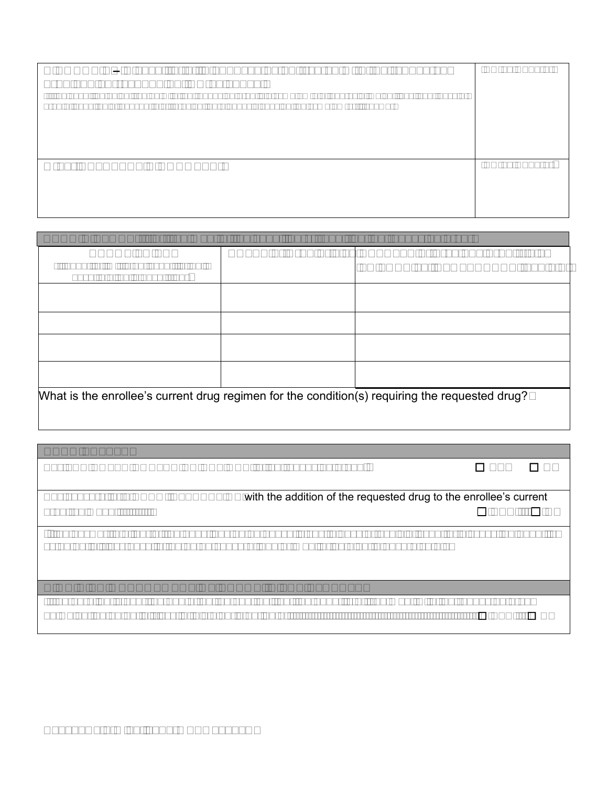| DIAGNOSIS - Please list all diagnoses being treated with the requested<br>drug and corresponding ICD-10 codes.<br>(If the condition being treated with the requested drug is a symptom e.g. anorexia, weight loss, shortness of<br>breath, chest pain, nausea, etc., provide the diagnosis causing the symptom(s) if known) | ICD-10 Code(s) |
|-----------------------------------------------------------------------------------------------------------------------------------------------------------------------------------------------------------------------------------------------------------------------------------------------------------------------------|----------------|
| <b>Other RELAVENT DIAGNOSES:</b>                                                                                                                                                                                                                                                                                            | ICD-10 Code(s) |

| <b>DRUG HISTORY:</b> (for treatment of the condition(s) requiring the requested drug)           |  |                                                                                                   |  |  |
|-------------------------------------------------------------------------------------------------|--|---------------------------------------------------------------------------------------------------|--|--|
| <b>DRUGS TRIED</b><br>(if quantity limit is an issue, list unit<br>dose/total daily dose tried) |  | DATES of Drug Trials   RESULTS of previous drug trials<br><b>FAILURE vs INTOLERANCE (explain)</b> |  |  |
|                                                                                                 |  |                                                                                                   |  |  |
|                                                                                                 |  |                                                                                                   |  |  |
|                                                                                                 |  |                                                                                                   |  |  |
|                                                                                                 |  |                                                                                                   |  |  |
| What is the enrollee's current drug regimen for the condition(s) requiring the requested drug?  |  |                                                                                                   |  |  |

Any **FDA NOTED CONTRAINDICATIONS** to the requested drug? ☐ **YES** ☐ **NO**

Any concern for a **DRUG INTERACTION** with the addition of the requested drug to the enrollee's current drug regimen? ☐ **YES** ☐ **NO**

If the answer to either of the questions noted above is yes, please 1) explain issue, 2) discuss the benefits vs potential risks despite the noted concern, and 3) monitoring plan to ensure safety

### **HIGH RISK MANAGEMENT OF DRUGS IN THE ELDERLY**

If the enrollee is over the age of 65, do you feel that the benefits of treatment with the requested drug outweigh the potential risks in this elderly patient? ☐ **YES** ☐ **NO**